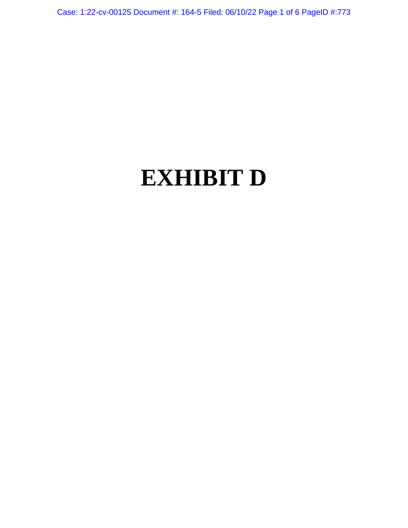Case: 1:22-cv-00125 Document #: 164-5 Filed: 06/10/22 Page 1 of 6 PageID #:773

# **EXHIBIT D**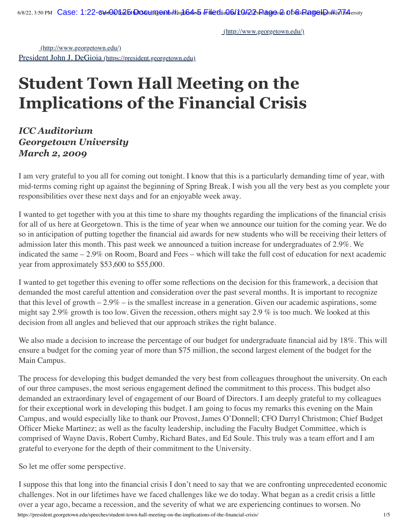[\(http://www.georgetown.edu/\)](http://www.georgetown.edu/)

[\(http://www.georgetown.edu/\)](http://www.georgetown.edu/) [President John J. DeGioia](https://president.georgetown.edu/) (https://president.georgetown.edu)

# **Student Town Hall Meeting on the Implications of the Financial Crisis**

## *ICC Auditorium Georgetown University March 2, 2009*

I am very grateful to you all for coming out tonight. I know that this is a particularly demanding time of year, with mid-terms coming right up against the beginning of Spring Break. I wish you all the very best as you complete your responsibilities over these next days and for an enjoyable week away.

I wanted to get together with you at this time to share my thoughts regarding the implications of the financial crisis for all of us here at Georgetown. This is the time of year when we announce our tuition for the coming year. We do so in anticipation of putting together the financial aid awards for new students who will be receiving their letters of admission later this month. This past week we announced a tuition increase for undergraduates of 2.9%. We indicated the same – 2.9% on Room, Board and Fees – which will take the full cost of education for next academic year from approximately \$53,600 to \$55,000.

I wanted to get together this evening to offer some reflections on the decision for this framework, a decision that demanded the most careful attention and consideration over the past several months. It is important to recognize that this level of growth  $-2.9\%$  – is the smallest increase in a generation. Given our academic aspirations, some might say 2.9% growth is too low. Given the recession, others might say 2.9 % is too much. We looked at this decision from all angles and believed that our approach strikes the right balance.

We also made a decision to increase the percentage of our budget for undergraduate financial aid by 18%. This will ensure a budget for the coming year of more than \$75 million, the second largest element of the budget for the Main Campus.

The process for developing this budget demanded the very best from colleagues throughout the university. On each of our three campuses, the most serious engagement defined the commitment to this process. This budget also demanded an extraordinary level of engagement of our Board of Directors. I am deeply grateful to my colleagues for their exceptional work in developing this budget. I am going to focus my remarks this evening on the Main Campus, and would especially like to thank our Provost, James O'Donnell; CFO Darryl Christmon; Chief Budget Officer Mieke Martinez; as well as the faculty leadership, including the Faculty Budget Committee, which is comprised of Wayne Davis, Robert Cumby, Richard Bates, and Ed Soule. This truly was a team effort and I am grateful to everyone for the depth of their commitment to the University.

So let me offer some perspective.

https://president.georgetown.edu/speeches/student-town-hall-meeting-on-the-implications-of-the-financial-crisis/ 1/5 I suppose this that long into the financial crisis I don't need to say that we are confronting unprecedented economic challenges. Not in our lifetimes have we faced challenges like we do today. What began as a credit crisis a little over a year ago, became a recession, and the severity of what we are experiencing continues to worsen. No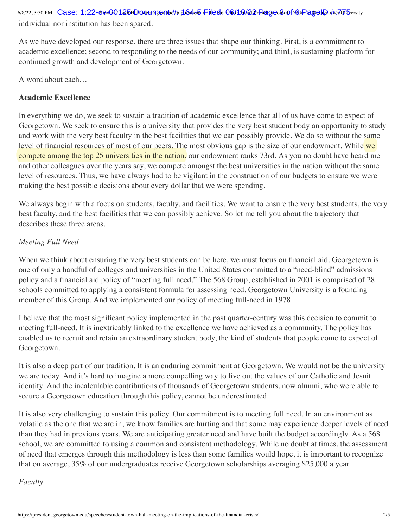6/8/22, 3:50 PM Case: 1:22-cvdehDib&bHallOreetingenth#tindli&dob FileEliaQ&ILGM22rRageo&Db&iRagedDt#in7hbersity individual nor institution has been spared.

As we have developed our response, there are three issues that shape our thinking. First, is a commitment to academic excellence; second to responding to the needs of our community; and third, is sustaining platform for continued growth and development of Georgetown.

A word about each…

#### **Academic Excellence**

In everything we do, we seek to sustain a tradition of academic excellence that all of us have come to expect of Georgetown. We seek to ensure this is a university that provides the very best student body an opportunity to study and work with the very best faculty in the best facilities that we can possibly provide. We do so without the same level of financial resources of most of our peers. The most obvious gap is the size of our endowment. While we compete among the top 25 universities in the nation, our endowment ranks 73rd. As you no doubt have heard me and other colleagues over the years say, we compete amongst the best universities in the nation without the same level of resources. Thus, we have always had to be vigilant in the construction of our budgets to ensure we were making the best possible decisions about every dollar that we were spending.

We always begin with a focus on students, faculty, and facilities. We want to ensure the very best students, the very best faculty, and the best facilities that we can possibly achieve. So let me tell you about the trajectory that describes these three areas.

#### *Meeting Full Need*

When we think about ensuring the very best students can be here, we must focus on financial aid. Georgetown is one of only a handful of colleges and universities in the United States committed to a "need-blind" admissions policy and a financial aid policy of "meeting full need." The 568 Group, established in 2001 is comprised of 28 schools committed to applying a consistent formula for assessing need. Georgetown University is a founding member of this Group. And we implemented our policy of meeting full-need in 1978.

I believe that the most significant policy implemented in the past quarter-century was this decision to commit to meeting full-need. It is inextricably linked to the excellence we have achieved as a community. The policy has enabled us to recruit and retain an extraordinary student body, the kind of students that people come to expect of Georgetown.

It is also a deep part of our tradition. It is an enduring commitment at Georgetown. We would not be the university we are today. And it's hard to imagine a more compelling way to live out the values of our Catholic and Jesuit identity. And the incalculable contributions of thousands of Georgetown students, now alumni, who were able to secure a Georgetown education through this policy, cannot be underestimated.

It is also very challenging to sustain this policy. Our commitment is to meeting full need. In an environment as volatile as the one that we are in, we know families are hurting and that some may experience deeper levels of need than they had in previous years. We are anticipating greater need and have built the budget accordingly. As a 568 school, we are committed to using a common and consistent methodology. While no doubt at times, the assessment of need that emerges through this methodology is less than some families would hope, it is important to recognize that on average, 35% of our undergraduates receive Georgetown scholarships averaging \$25,000 a year.

#### *Faculty*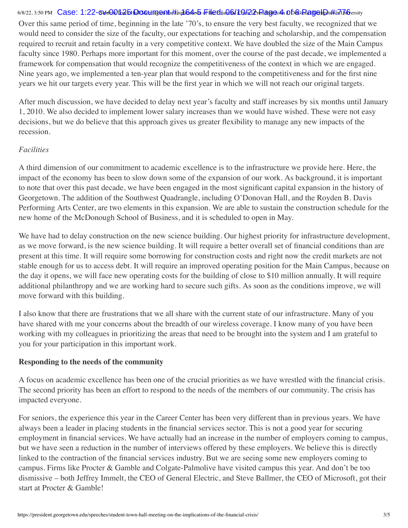#### 6/8/22, 3:50 PM CaSe:1:22-6\doOfb&bHallO@tmgonth#tindl6dob FileEliaQ&lLQd22rRageokh Db&iRageH@t#in77h6ersity

Over this same period of time, beginning in the late '70's, to ensure the very best faculty, we recognized that we would need to consider the size of the faculty, our expectations for teaching and scholarship, and the compensation required to recruit and retain faculty in a very competitive context. We have doubled the size of the Main Campus faculty since 1980. Perhaps more important for this moment, over the course of the past decade, we implemented a framework for compensation that would recognize the competitiveness of the context in which we are engaged. Nine years ago, we implemented a ten-year plan that would respond to the competitiveness and for the first nine years we hit our targets every year. This will be the first year in which we will not reach our original targets.

After much discussion, we have decided to delay next year's faculty and staff increases by six months until January 1, 2010. We also decided to implement lower salary increases than we would have wished. These were not easy decisions, but we do believe that this approach gives us greater flexibility to manage any new impacts of the recession.

#### *Facilities*

A third dimension of our commitment to academic excellence is to the infrastructure we provide here. Here, the impact of the economy has been to slow down some of the expansion of our work. As background, it is important to note that over this past decade, we have been engaged in the most significant capital expansion in the history of Georgetown. The addition of the Southwest Quadrangle, including O'Donovan Hall, and the Royden B. Davis Performing Arts Center, are two elements in this expansion. We are able to sustain the construction schedule for the new home of the McDonough School of Business, and it is scheduled to open in May.

We have had to delay construction on the new science building. Our highest priority for infrastructure development, as we move forward, is the new science building. It will require a better overall set of financial conditions than are present at this time. It will require some borrowing for construction costs and right now the credit markets are not stable enough for us to access debt. It will require an improved operating position for the Main Campus, because on the day it opens, we will face new operating costs for the building of close to \$10 million annually. It will require additional philanthropy and we are working hard to secure such gifts. As soon as the conditions improve, we will move forward with this building.

I also know that there are frustrations that we all share with the current state of our infrastructure. Many of you have shared with me your concerns about the breadth of our wireless coverage. I know many of you have been working with my colleagues in prioritizing the areas that need to be brought into the system and I am grateful to you for your participation in this important work.

#### **Responding to the needs of the community**

A focus on academic excellence has been one of the crucial priorities as we have wrestled with the financial crisis. The second priority has been an effort to respond to the needs of the members of our community. The crisis has impacted everyone.

For seniors, the experience this year in the Career Center has been very different than in previous years. We have always been a leader in placing students in the financial services sector. This is not a good year for securing employment in financial services. We have actually had an increase in the number of employers coming to campus, but we have seen a reduction in the number of interviews offered by these employers. We believe this is directly linked to the contraction of the financial services industry. But we are seeing some new employers coming to campus. Firms like Procter & Gamble and Colgate-Palmolive have visited campus this year. And don't be too dismissive – both Jeffrey Immelt, the CEO of General Electric, and Steve Ballmer, the CEO of Microsoft, got their start at Procter & Gamble!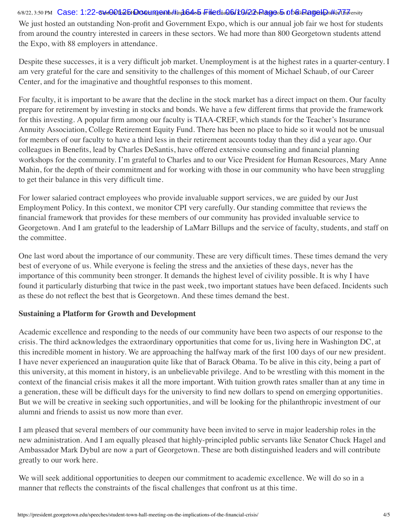#### 6/8/22, 3:50 PM CaSe:1:22-6\doOfb2bHallO@tmgonth#tindl64dob FileEliaQ&lLQA22rRageob Df&iRageHat&in77niVersity

We just hosted an outstanding Non-profit and Government Expo, which is our annual job fair we host for students from around the country interested in careers in these sectors. We had more than 800 Georgetown students attend the Expo, with 88 employers in attendance.

Despite these successes, it is a very difficult job market. Unemployment is at the highest rates in a quarter-century. I am very grateful for the care and sensitivity to the challenges of this moment of Michael Schaub, of our Career Center, and for the imaginative and thoughtful responses to this moment.

For faculty, it is important to be aware that the decline in the stock market has a direct impact on them. Our faculty prepare for retirement by investing in stocks and bonds. We have a few different firms that provide the framework for this investing. A popular firm among our faculty is TIAA-CREF, which stands for the Teacher's Insurance Annuity Association, College Retirement Equity Fund. There has been no place to hide so it would not be unusual for members of our faculty to have a third less in their retirement accounts today than they did a year ago. Our colleagues in Benefits, lead by Charles DeSantis, have offered extensive counseling and financial planning workshops for the community. I'm grateful to Charles and to our Vice President for Human Resources, Mary Anne Mahin, for the depth of their commitment and for working with those in our community who have been struggling to get their balance in this very difficult time.

For lower salaried contract employees who provide invaluable support services, we are guided by our Just Employment Policy. In this context, we monitor CPI very carefully. Our standing committee that reviews the financial framework that provides for these members of our community has provided invaluable service to Georgetown. And I am grateful to the leadership of LaMarr Billups and the service of faculty, students, and staff on the committee.

One last word about the importance of our community. These are very difficult times. These times demand the very best of everyone of us. While everyone is feeling the stress and the anxieties of these days, never has the importance of this community been stronger. It demands the highest level of civility possible. It is why I have found it particularly disturbing that twice in the past week, two important statues have been defaced. Incidents such as these do not reflect the best that is Georgetown. And these times demand the best.

#### **Sustaining a Platform for Growth and Development**

Academic excellence and responding to the needs of our community have been two aspects of our response to the crisis. The third acknowledges the extraordinary opportunities that come for us, living here in Washington DC, at this incredible moment in history. We are approaching the halfway mark of the first 100 days of our new president. I have never experienced an inauguration quite like that of Barack Obama. To be alive in this city, being a part of this university, at this moment in history, is an unbelievable privilege. And to be wrestling with this moment in the context of the financial crisis makes it all the more important. With tuition growth rates smaller than at any time in a generation, these will be difficult days for the university to find new dollars to spend on emerging opportunities. But we will be creative in seeking such opportunities, and will be looking for the philanthropic investment of our alumni and friends to assist us now more than ever.

I am pleased that several members of our community have been invited to serve in major leadership roles in the new administration. And I am equally pleased that highly-principled public servants like Senator Chuck Hagel and Ambassador Mark Dybul are now a part of Georgetown. These are both distinguished leaders and will contribute greatly to our work here.

We will seek additional opportunities to deepen our commitment to academic excellence. We will do so in a manner that reflects the constraints of the fiscal challenges that confront us at this time.